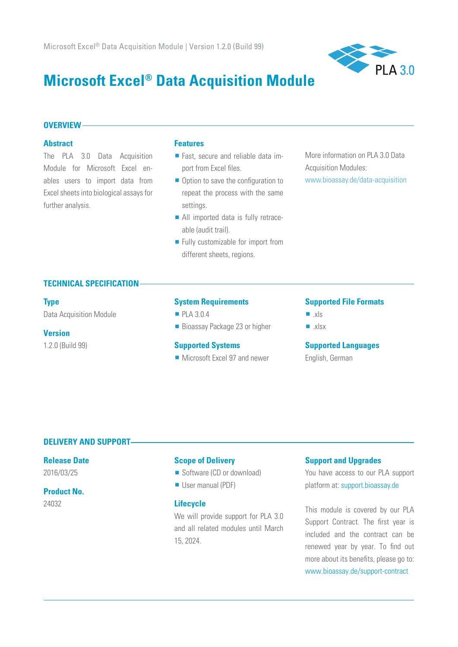

# **Microsoft Excel® Data Acquisition Module**

#### **OVERVIEW**

#### **Abstract**

The PLA 3.0 Data Acquisition Module for Microsoft Excel enables users to import data from Excel sheets into biological assays for further analysis.

#### **Features**

- **Fast, secure and reliable data im**port from Excel files.
- $\blacksquare$  Option to save the configuration to repeat the process with the same settings.
- All imported data is fully retraceable (audit trail).
- **Fully customizable for import from** different sheets, regions.

More information on PLA 3.0 Data Acquisition Modules: www.bioassay.de/data-acquisition

#### **TECHNICAL SPECIFICATION**

#### **Type**

Data Acquisition Module

#### **Version**

1.2.0 (Build 99)

#### **System Requirements**

- PLA 3.0.4
- Bioassay Package 23 or higher

#### **Supported Systems**

**Microsoft Excel 97 and newer** 

#### **Supported File Formats**

- $x|s$
- $x|sx$

#### **Supported Languages**

English, German

### **DELIVERY AND SUPPORT**

### **Release Date**

2016/03/25

## **Product No.**

24032

#### **Scope of Delivery**

- Software (CD or download)
- User manual (PDF)

#### **Lifecycle**

We will provide support for PLA 3.0 and all related modules until March 15, 2024.

#### **Support and Upgrades**

You have access to our PLA support platform at: support.bioassay.de

This module is covered by our PLA Support Contract. The first year is included and the contract can be renewed year by year. To find out more about its benefits, please go to: www.bioassay.de/support-contract